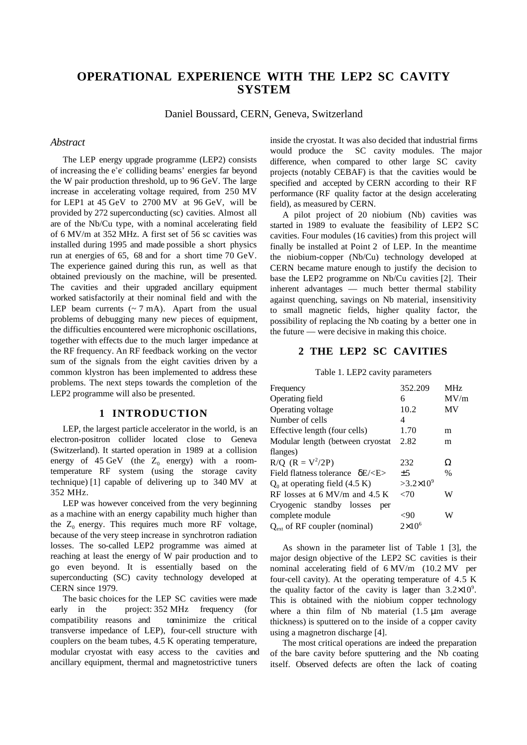# **OPERATIONAL EXPERIENCE WITH THE LEP2 SC CAVITY SYSTEM**

Daniel Boussard, CERN, Geneva, Switzerland

# *Abstract*

The LEP energy upgrade programme (LEP2) consists of increasing the e<sup>+</sup>e<sup>-</sup> colliding beams' energies far beyond the W pair production threshold, up to 96 GeV. The large increase in accelerating voltage required, from 250 MV for LEP1 at 45 GeV to 2700 MV at 96 GeV, will be provided by 272 superconducting (sc) cavities. Almost all are of the Nb/Cu type, with a nominal accelerating field of 6 MV/m at 352 MHz. A first set of 56 sc cavities was installed during 1995 and made possible a short physics run at energies of 65, 68 and for a short time 70 GeV. The experience gained during this run, as well as that obtained previously on the machine, will be presented. The cavities and their upgraded ancillary equipment worked satisfactorily at their nominal field and with the LEP beam currents  $({\sim} 7 \text{ mA})$ . Apart from the usual problems of debugging many new pieces of equipment, the difficulties encountered were microphonic oscillations, together with effects due to the much larger impedance at the RF frequency. An RF feedback working on the vector sum of the signals from the eight cavities driven by a common klystron has been implemented to address these problems. The next steps towards the completion of the LEP2 programme will also be presented.

# **1 INTRODUCTION**

LEP, the largest particle accelerator in the world, is an electron-positron collider located close to Geneva (Switzerland). It started operation in 1989 at a collision energy of  $45 \text{ GeV}$  (the  $Z_0$  energy) with a roomtemperature RF system (using the storage cavity technique) [1] capable of delivering up to 340 MV at 352 MHz.

LEP was however conceived from the very beginning as a machine with an energy capability much higher than the  $Z_0$  energy. This requires much more RF voltage, because of the very steep increase in synchrotron radiation losses. The so-called LEP2 programme was aimed at reaching at least the energy of W pair production and to go even beyond. It is essentially based on the superconducting (SC) cavity technology developed at CERN since 1979.

The basic choices for the LEP SC cavities were made early in the project: 352 MHz frequency (for compatibility reasons and to minimize the critical transverse impedance of LEP), four-cell structure with couplers on the beam tubes, 4.5 K operating temperature, modular cryostat with easy access to the cavities and ancillary equipment, thermal and magnetostrictive tuners

inside the cryostat. It was also decided that industrial firms would produce the SC cavity modules. The major difference, when compared to other large SC cavity projects (notably CEBAF) is that the cavities would be specified and accepted by CERN according to their RF performance (RF quality factor at the design accelerating field), as measured by CERN.

A pilot project of 20 niobium (Nb) cavities was started in 1989 to evaluate the feasibility of LEP2 SC cavities. Four modules (16 cavities) from this project will finally be installed at Point 2 of LEP. In the meantime the niobium-copper (Nb/Cu) technology developed at CERN became mature enough to justify the decision to base the LEP2 programme on Nb/Cu cavities [2]. Their inherent advantages — much better thermal stability against quenching, savings on Nb material, insensitivity to small magnetic fields, higher quality factor, the possibility of replacing the Nb coating by a better one in the future — were decisive in making this choice.

# **2 THE LEP2 SC CAVITIES**

#### Table 1. LEP2 cavity parameters

| Frequency                                             | 352.209            | MHz  |
|-------------------------------------------------------|--------------------|------|
| Operating field                                       | 6                  | MV/m |
| Operating voltage                                     | 10.2               | MV   |
| Number of cells                                       | 4                  |      |
| Effective length (four cells)                         | 1.70               | m    |
| Modular length (between cryostat                      | 2.82               | m    |
| flanges)                                              |                    |      |
| $R/Q$ $(R = V^2/2P)$                                  | 232                | Ω    |
| Field flatness tolerance $\delta E/\langle E \rangle$ | $+5$               | $\%$ |
| $Q_0$ at operating field (4.5 K)                      | $>3.2\times10^{9}$ |      |
| RF losses at $6$ MV/m and $4.5$ K                     | ${<}70$            | W    |
| Cryogenic standby losses<br>per                       |                    |      |
| complete module                                       | <90                | W    |
| $Q_{\text{ext}}$ of RF coupler (nominal)              | $2\times10^6$      |      |

As shown in the parameter list of Table 1 [3], the major design objective of the LEP2 SC cavities is their nominal accelerating field of 6 MV/m (10.2 MV per four-cell cavity). At the operating temperature of 4.5 K the quality factor of the cavity is larger than  $3.2 \times 10^9$ . This is obtained with the niobium copper technology where a thin film of Nb material  $(1.5 \mu m)$  average thickness) is sputtered on to the inside of a copper cavity using a magnetron discharge [4].

The most critical operations are indeed the preparation of the bare cavity before sputtering and the Nb coating itself. Observed defects are often the lack of coating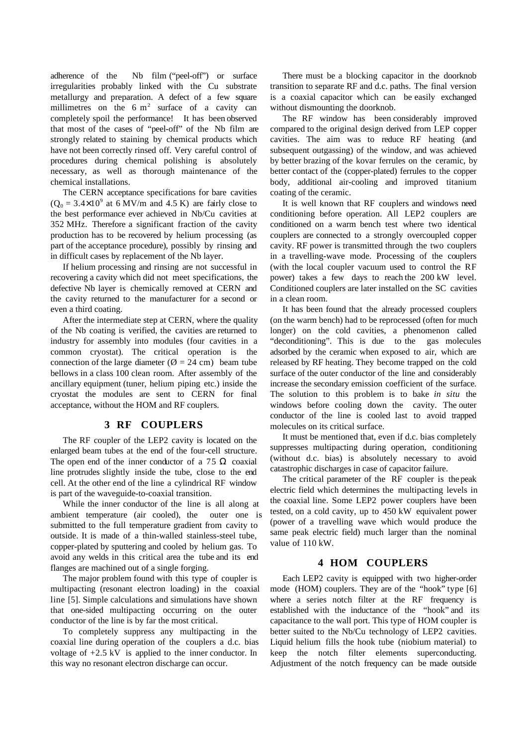adherence of the Nb film ("peel-off") or surface irregularities probably linked with the Cu substrate metallurgy and preparation. A defect of a few square millimetres on the  $6 \text{ m}^2$  surface of a cavity can completely spoil the performance! It has been observed that most of the cases of "peel-off" of the Nb film are strongly related to staining by chemical products which have not been correctly rinsed off. Very careful control of procedures during chemical polishing is absolutely necessary, as well as thorough maintenance of the chemical installations.

The CERN acceptance specifications for bare cavities  $(Q_0 = 3.4 \times 10^9$  at 6 MV/m and 4.5 K) are fairly close to the best performance ever achieved in Nb/Cu cavities at 352 MHz. Therefore a significant fraction of the cavity production has to be recovered by helium processing (as part of the acceptance procedure), possibly by rinsing and in difficult cases by replacement of the Nb layer.

If helium processing and rinsing are not successful in recovering a cavity which did not meet specifications, the defective Nb layer is chemically removed at CERN and the cavity returned to the manufacturer for a second or even a third coating.

After the intermediate step at CERN, where the quality of the Nb coating is verified, the cavities are returned to industry for assembly into modules (four cavities in a common cryostat). The critical operation is the connection of the large diameter ( $\varnothing$  = 24 cm) beam tube bellows in a class 100 clean room. After assembly of the ancillary equipment (tuner, helium piping etc.) inside the cryostat the modules are sent to CERN for final acceptance, without the HOM and RF couplers.

# **3 RF COUPLERS**

The RF coupler of the LEP2 cavity is located on the enlarged beam tubes at the end of the four-cell structure. The open end of the inner conductor of a 75  $\Omega$  coaxial line protrudes slightly inside the tube, close to the end cell. At the other end of the line a cylindrical RF window is part of the waveguide-to-coaxial transition.

While the inner conductor of the line is all along at ambient temperature (air cooled), the outer one is submitted to the full temperature gradient from cavity to outside. It is made of a thin-walled stainless-steel tube, copper-plated by sputtering and cooled by helium gas. To avoid any welds in this critical area the tube and its end flanges are machined out of a single forging.

The major problem found with this type of coupler is multipacting (resonant electron loading) in the coaxial line [5]. Simple calculations and simulations have shown that one-sided multipacting occurring on the outer conductor of the line is by far the most critical.

To completely suppress any multipacting in the coaxial line during operation of the couplers a d.c. bias voltage of +2.5 kV is applied to the inner conductor. In this way no resonant electron discharge can occur.

There must be a blocking capacitor in the doorknob transition to separate RF and d.c. paths. The final version is a coaxial capacitor which can be easily exchanged without dismounting the doorknob.

The RF window has been considerably improved compared to the original design derived from LEP copper cavities. The aim was to reduce RF heating (and subsequent outgassing) of the window, and was achieved by better brazing of the kovar ferrules on the ceramic, by better contact of the (copper-plated) ferrules to the copper body, additional air-cooling and improved titanium coating of the ceramic.

It is well known that RF couplers and windows need conditioning before operation. All LEP2 couplers are conditioned on a warm bench test where two identical couplers are connected to a strongly overcoupled copper cavity. RF power is transmitted through the two couplers in a travelling-wave mode. Processing of the couplers (with the local coupler vacuum used to control the RF power) takes a few days to reach the 200 kW level. Conditioned couplers are later installed on the SC cavities in a clean room.

It has been found that the already processed couplers (on the warm bench) had to be reprocessed (often for much longer) on the cold cavities, a phenomenon called "deconditioning". This is due to the gas molecules adsorbed by the ceramic when exposed to air, which are released by RF heating. They become trapped on the cold surface of the outer conductor of the line and considerably increase the secondary emission coefficient of the surface. The solution to this problem is to bake *in situ* the windows before cooling down the cavity. The outer conductor of the line is cooled last to avoid trapped molecules on its critical surface.

It must be mentioned that, even if d.c. bias completely suppresses multipacting during operation, conditioning (without d.c. bias) is absolutely necessary to avoid catastrophic discharges in case of capacitor failure.

The critical parameter of the RF coupler is the peak electric field which determines the multipacting levels in the coaxial line. Some LEP2 power couplers have been tested, on a cold cavity, up to 450 kW equivalent power (power of a travelling wave which would produce the same peak electric field) much larger than the nominal value of 110 kW.

### **4 HOM COUPLERS**

Each LEP2 cavity is equipped with two higher-order mode (HOM) couplers. They are of the "hook" type [6] where a series notch filter at the RF frequency is established with the inductance of the "hook" and its capacitance to the wall port. This type of HOM coupler is better suited to the Nb/Cu technology of LEP2 cavities. Liquid helium fills the hook tube (niobium material) to keep the notch filter elements superconducting. Adjustment of the notch frequency can be made outside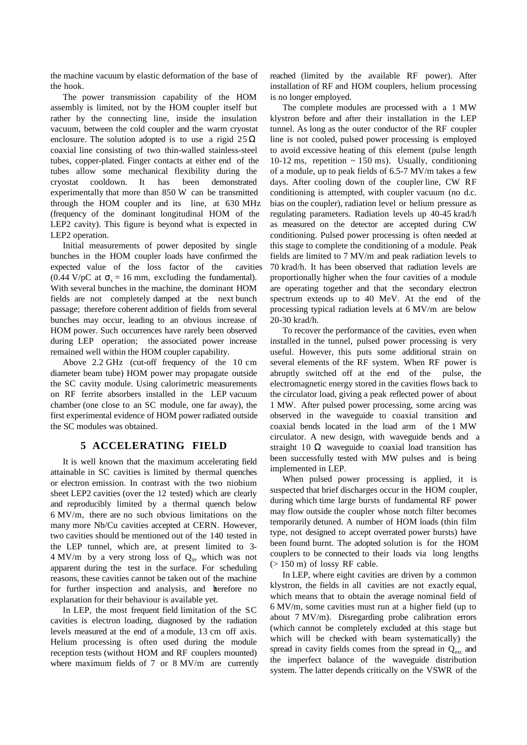the machine vacuum by elastic deformation of the base of the hook.

The power transmission capability of the HOM assembly is limited, not by the HOM coupler itself but rather by the connecting line, inside the insulation vacuum, between the cold coupler and the warm cryostat enclosure. The solution adopted is to use a rigid  $25 \Omega$ coaxial line consisting of two thin-walled stainless-steel tubes, copper-plated. Finger contacts at either end of the tubes allow some mechanical flexibility during the cryostat cooldown. It has been demonstrated experimentally that more than 850 W can be transmitted through the HOM coupler and its line, at 630 MHz (frequency of the dominant longitudinal HOM of the LEP2 cavity). This figure is beyond what is expected in LEP2 operation.

Initial measurements of power deposited by single bunches in the HOM coupler loads have confirmed the expected value of the loss factor of the cavities (0.44 V/pC at  $\sigma$ <sub>s</sub> = 16 mm, excluding the fundamental). With several bunches in the machine, the dominant HOM fields are not completely damped at the next bunch passage; therefore coherent addition of fields from several bunches may occur, leading to an obvious increase of HOM power. Such occurrences have rarely been observed during LEP operation; the associated power increase remained well within the HOM coupler capability.

Above 2.2 GHz (cut-off frequency of the 10 cm diameter beam tube) HOM power may propagate outside the SC cavity module. Using calorimetric measurements on RF ferrite absorbers installed in the LEP vacuum chamber (one close to an SC module, one far away), the first experimental evidence of HOM power radiated outside the SC modules was obtained.

# **5 ACCELERATING FIELD**

It is well known that the maximum accelerating field attainable in SC cavities is limited by thermal quenches or electron emission. In contrast with the two niobium sheet LEP2 cavities (over the 12 tested) which are clearly and reproducibly limited by a thermal quench below 6 MV/m, there are no such obvious limitations on the many more Nb/Cu cavities accepted at CERN. However, two cavities should be mentioned out of the 140 tested in the LEP tunnel, which are, at present limited to 3-  $4 \text{ MV/m}$  by a very strong loss of  $Q_0$ , which was not apparent during the test in the surface. For scheduling reasons, these cavities cannot be taken out of the machine for further inspection and analysis, and therefore no explanation for their behaviour is available yet.

In LEP, the most frequent field limitation of the SC cavities is electron loading, diagnosed by the radiation levels measured at the end of a module, 13 cm off axis. Helium processing is often used during the module reception tests (without HOM and RF couplers mounted) where maximum fields of 7 or 8 MV/m are currently reached (limited by the available RF power). After installation of RF and HOM couplers, helium processing is no longer employed.

The complete modules are processed with a 1 MW klystron before and after their installation in the LEP tunnel. As long as the outer conductor of the RF coupler line is not cooled, pulsed power processing is employed to avoid excessive heating of this element (pulse length 10-12 ms, repetition  $\sim$  150 ms). Usually, conditioning of a module, up to peak fields of 6.5-7 MV/m takes a few days. After cooling down of the coupler line, CW RF conditioning is attempted, with coupler vacuum (no d.c. bias on the coupler), radiation level or helium pressure as regulating parameters. Radiation levels up 40-45 krad/h as measured on the detector are accepted during CW conditioning. Pulsed power processing is often needed at this stage to complete the conditioning of a module. Peak fields are limited to 7 MV/m and peak radiation levels to 70 krad/h. It has been observed that radiation levels are proportionally higher when the four cavities of a module are operating together and that the secondary electron spectrum extends up to 40 MeV. At the end of the processing typical radiation levels at 6 MV/m are below 20-30 krad/h.

To recover the performance of the cavities, even when installed in the tunnel, pulsed power processing is very useful. However, this puts some additional strain on several elements of the RF system. When RF power is abruptly switched off at the end of the pulse, the electromagnetic energy stored in the cavities flows back to the circulator load, giving a peak reflected power of about 1 MW. After pulsed power processing, some arcing was observed in the waveguide to coaxial transition and coaxial bends located in the load arm of the 1 MW circulator. A new design, with waveguide bends and a straight  $10 \Omega$  waveguide to coaxial load transition has been successfully tested with MW pulses and is being implemented in LEP.

When pulsed power processing is applied, it is suspected that brief discharges occur in the HOM coupler, during which time large bursts of fundamental RF power may flow outside the coupler whose notch filter becomes temporarily detuned. A number of HOM loads (thin film type, not designed to accept overrated power bursts) have been found burnt. The adopted solution is for the HOM couplers to be connected to their loads via long lengths (> 150 m) of lossy RF cable.

In LEP, where eight cavities are driven by a common klystron, the fields in all cavities are not exactly equal, which means that to obtain the average nominal field of 6 MV/m, some cavities must run at a higher field (up to about 7 MV/m). Disregarding probe calibration errors (which cannot be completely excluded at this stage but which will be checked with beam systematically) the spread in cavity fields comes from the spread in  $Q_{ext}$  and the imperfect balance of the waveguide distribution system. The latter depends critically on the VSWR of the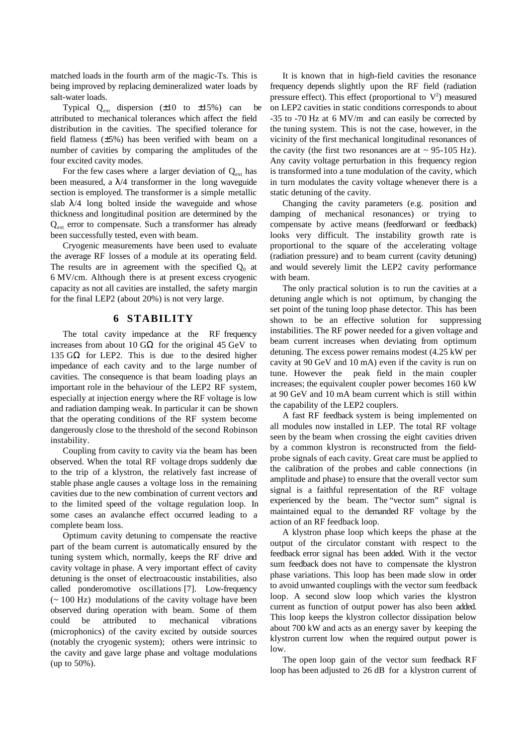matched loads in the fourth arm of the magic-Ts. This is being improved by replacing demineralized water loads by salt-water loads.

Typical  $Q_{ext}$  dispersion ( $\pm 10$  to  $\pm 15\%$ ) can be attributed to mechanical tolerances which affect the field distribution in the cavities. The specified tolerance for field flatness (±5%) has been verified with beam on a number of cavities by comparing the amplitudes of the four excited cavity modes.

For the few cases where a larger deviation of  $Q_{ext}$  has been measured, a  $\lambda$ /4 transformer in the long waveguide section is employed. The transformer is a simple metallic slab  $\lambda$ /4 long bolted inside the waveguide and whose thickness and longitudinal position are determined by the Qext error to compensate. Such a transformer has already been successfully tested, even with beam.

Cryogenic measurements have been used to evaluate the average RF losses of a module at its operating field. The results are in agreement with the specified  $Q_0$  at 6 MV/cm. Although there is at present excess cryogenic capacity as not all cavities are installed, the safety margin for the final LEP2 (about 20%) is not very large.

## **6 STABILITY**

The total cavity impedance at the RF frequency increases from about 10  $G\Omega$  for the original 45  $GeV$  to 135 GΩ for LEP2. This is due to the desired higher impedance of each cavity and to the large number of cavities. The consequence is that beam loading plays an important role in the behaviour of the LEP2 RF system, especially at injection energy where the RF voltage is low and radiation damping weak. In particular it can be shown that the operating conditions of the RF system become dangerously close to the threshold of the second Robinson instability.

Coupling from cavity to cavity via the beam has been observed. When the total RF voltage drops suddenly due to the trip of a klystron, the relatively fast increase of stable phase angle causes a voltage loss in the remaining cavities due to the new combination of current vectors and to the limited speed of the voltage regulation loop. In some cases an avalanche effect occurred leading to a complete beam loss.

Optimum cavity detuning to compensate the reactive part of the beam current is automatically ensured by the tuning system which, normally, keeps the RF drive and cavity voltage in phase. A very important effect of cavity detuning is the onset of electroacoustic instabilities, also called ponderomotive oscillations [7]. Low-frequency  $\sim$  100 Hz) modulations of the cavity voltage have been observed during operation with beam. Some of them could be attributed to mechanical vibrations (microphonics) of the cavity excited by outside sources (notably the cryogenic system); others were intrinsic to the cavity and gave large phase and voltage modulations (up to 50%).

It is known that in high-field cavities the resonance frequency depends slightly upon the RF field (radiation pressure effect). This effect (proportional to  $V^2$ ) measured on LEP2 cavities in static conditions corresponds to about -35 to -70 Hz at 6 MV/m and can easily be corrected by the tuning system. This is not the case, however, in the vicinity of the first mechanical longitudinal resonances of the cavity (the first two resonances are at  $\sim$  95-105 Hz). Any cavity voltage perturbation in this frequency region is transformed into a tune modulation of the cavity, which in turn modulates the cavity voltage whenever there is a static detuning of the cavity.

Changing the cavity parameters (e.g. position and damping of mechanical resonances) or trying to compensate by active means (feedforward or feedback) looks very difficult. The instability growth rate is proportional to the square of the accelerating voltage (radiation pressure) and to beam current (cavity detuning) and would severely limit the LEP2 cavity performance with beam.

The only practical solution is to run the cavities at a detuning angle which is not optimum, by changing the set point of the tuning loop phase detector. This has been shown to be an effective solution for suppressing instabilities. The RF power needed for a given voltage and beam current increases when deviating from optimum detuning. The excess power remains modest (4.25 kW per cavity at 90 GeV and 10 mA) even if the cavity is run on tune. However the peak field in the main coupler increases; the equivalent coupler power becomes 160 kW at 90 GeV and 10 mA beam current which is still within the capability of the LEP2 couplers.

A fast RF feedback system is being implemented on all modules now installed in LEP. The total RF voltage seen by the beam when crossing the eight cavities driven by a common klystron is reconstructed from the fieldprobe signals of each cavity. Great care must be applied to the calibration of the probes and cable connections (in amplitude and phase) to ensure that the overall vector sum signal is a faithful representation of the RF voltage experienced by the beam. The "vector sum" signal is maintained equal to the demanded RF voltage by the action of an RF feedback loop.

A klystron phase loop which keeps the phase at the output of the circulator constant with respect to the feedback error signal has been added. With it the vector sum feedback does not have to compensate the klystron phase variations. This loop has been made slow in order to avoid unwanted couplings with the vector sum feedback loop. A second slow loop which varies the klystron current as function of output power has also been added. This loop keeps the klystron collector dissipation below about 700 kW and acts as an energy saver by keeping the klystron current low when the required output power is low.

The open loop gain of the vector sum feedback RF loop has been adjusted to 26 dB for a klystron current of